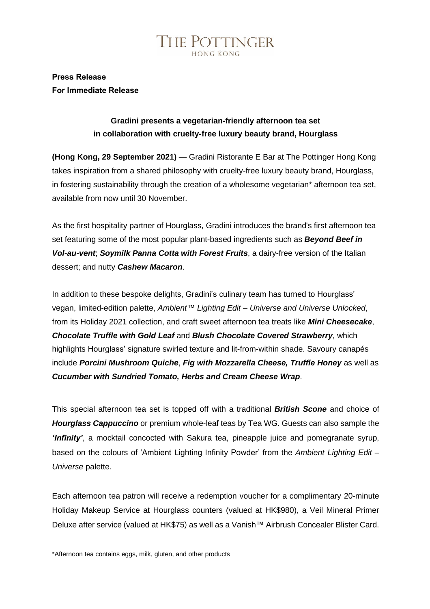

## **Press Release For Immediate Release**

## **Gradini presents a vegetarian-friendly afternoon tea set in collaboration with cruelty-free luxury beauty brand, Hourglass**

**(Hong Kong, 29 September 2021)** — Gradini Ristorante E Bar at The Pottinger Hong Kong takes inspiration from a shared philosophy with cruelty-free luxury beauty brand, Hourglass, in fostering sustainability through the creation of a wholesome vegetarian\* afternoon tea set, available from now until 30 November.

As the first hospitality partner of Hourglass, Gradini introduces the brand's first afternoon tea set featuring some of the most popular plant-based ingredients such as *Beyond Beef in Vol-au-vent*; *Soymilk Panna Cotta with Forest Fruits*, a dairy-free version of the Italian dessert; and nutty *Cashew Macaron*.

In addition to these bespoke delights, Gradini's culinary team has turned to Hourglass' vegan, limited-edition palette, *Ambient™️ Lighting Edit – Universe and Universe Unlocked*, from its Holiday 2021 collection, and craft sweet afternoon tea treats like *Mini Cheesecake*, *Chocolate Truffle with Gold Leaf* and *Blush Chocolate Covered Strawberry*, which highlights Hourglass' signature swirled texture and lit-from-within shade. Savoury canapés include *Porcini Mushroom Quiche*, *Fig with Mozzarella Cheese, Truffle Honey* as well as *Cucumber with Sundried Tomato, Herbs and Cream Cheese Wrap*.

This special afternoon tea set is topped off with a traditional *British Scone* and choice of *Hourglass Cappuccino* or premium whole-leaf teas by Tea WG. Guests can also sample the *'Infinity'*, a mocktail concocted with Sakura tea, pineapple juice and pomegranate syrup, based on the colours of 'Ambient Lighting Infinity Powder' from the *Ambient Lighting Edit – Universe* palette.

Each afternoon tea patron will receive a redemption voucher for a complimentary 20-minute Holiday Makeup Service at Hourglass counters (valued at HK\$980), a Veil Mineral Primer Deluxe after service (valued at HK\$75) as well as a Vanish™️ Airbrush Concealer Blister Card.

\*Afternoon tea contains eggs, milk, gluten, and other products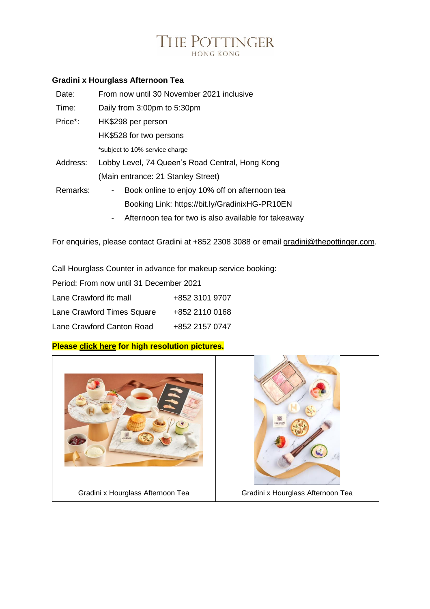# THE POTTINGER

### **Gradini x Hourglass Afternoon Tea**

| Date:    | From now until 30 November 2021 inclusive           |
|----------|-----------------------------------------------------|
| Time:    | Daily from 3:00pm to 5:30pm                         |
| Price*:  | HK\$298 per person                                  |
|          | HK\$528 for two persons                             |
|          | *subject to 10% service charge                      |
| Address: | Lobby Level, 74 Queen's Road Central, Hong Kong     |
|          | (Main entrance: 21 Stanley Street)                  |
| Remarks: | Book online to enjoy 10% off on afternoon tea<br>۰. |
|          | Booking Link: https://bit.ly/GradinixHG-PR10EN      |
|          |                                                     |

- Afternoon tea for two is also available for takeaway

For enquiries, please contact Gradini at +852 2308 3088 or email [gradini@thepottinger.com.](mailto:gradini@thepottinger.com)

Call Hourglass Counter in advance for makeup service booking:

| Period: From now until 31 December 2021 |                |  |  |
|-----------------------------------------|----------------|--|--|
| Lane Crawford ifc mall                  | +852 3101 9707 |  |  |
| Lane Crawford Times Square              | +852 2110 0168 |  |  |
| Lane Crawford Canton Road               | +852 2157 0747 |  |  |

## **Please [click](https://sino365-my.sharepoint.com/:f:/g/personal/h1900146_sinohotels_com/ElkFsPECHddImGCa_K47wYkBN3xmCSY3ANCXfNoxFmyVMA?e=bxOgIf) here for high resolution pictures.**

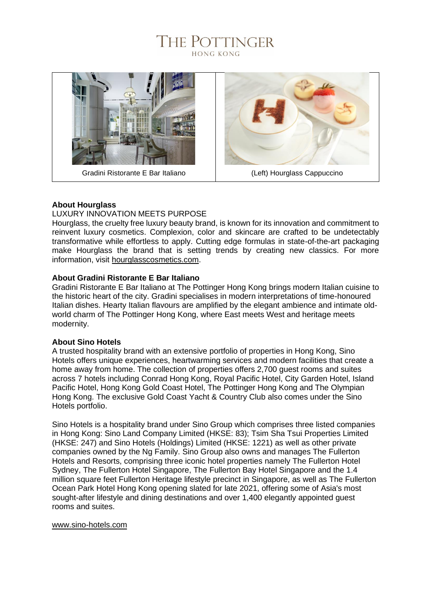# THE POTTINGER **HONG KONG**



#### **About Hourglass**

#### LUXURY INNOVATION MEETS PURPOSE

Hourglass, the cruelty free luxury beauty brand, is known for its innovation and commitment to reinvent luxury cosmetics. Complexion, color and skincare are crafted to be undetectably transformative while effortless to apply. Cutting edge formulas in state-of-the-art packaging make Hourglass the brand that is setting trends by creating new classics. For more information, visit [hourglasscosmetics.com.](file:///C:/Users/H1600061/AppData/Local/Microsoft/Windows/INetCache/Content.Outlook/DDMHFICN/hourglasscosmetics.com)

#### **About Gradini Ristorante E Bar Italiano**

Gradini Ristorante E Bar Italiano at The Pottinger Hong Kong brings modern Italian cuisine to the historic heart of the city. Gradini specialises in modern interpretations of time-honoured Italian dishes. Hearty Italian flavours are amplified by the elegant ambience and intimate oldworld charm of The Pottinger Hong Kong, where East meets West and heritage meets modernity.

#### **About Sino Hotels**

A trusted hospitality brand with an extensive portfolio of properties in Hong Kong, Sino Hotels offers unique experiences, heartwarming services and modern facilities that create a home away from home. The collection of properties offers 2,700 guest rooms and suites across 7 hotels including Conrad Hong Kong, Royal Pacific Hotel, City Garden Hotel, Island Pacific Hotel, Hong Kong Gold Coast Hotel, The Pottinger Hong Kong and The Olympian Hong Kong. The exclusive Gold Coast Yacht & Country Club also comes under the Sino Hotels portfolio.

Sino Hotels is a hospitality brand under Sino Group which comprises three listed companies in Hong Kong: Sino Land Company Limited (HKSE: 83); Tsim Sha Tsui Properties Limited (HKSE: 247) and Sino Hotels (Holdings) Limited (HKSE: 1221) as well as other private companies owned by the Ng Family. Sino Group also owns and manages The Fullerton Hotels and Resorts, comprising three iconic hotel properties namely The Fullerton Hotel Sydney, The Fullerton Hotel Singapore, The Fullerton Bay Hotel Singapore and the 1.4 million square feet Fullerton Heritage lifestyle precinct in Singapore, as well as The Fullerton Ocean Park Hotel Hong Kong opening slated for late 2021, offering some of Asia's most sought-after lifestyle and dining destinations and over 1,400 elegantly appointed guest rooms and suites.

#### [www.sino-hotels.com](http://www.sino-hotels.com/)